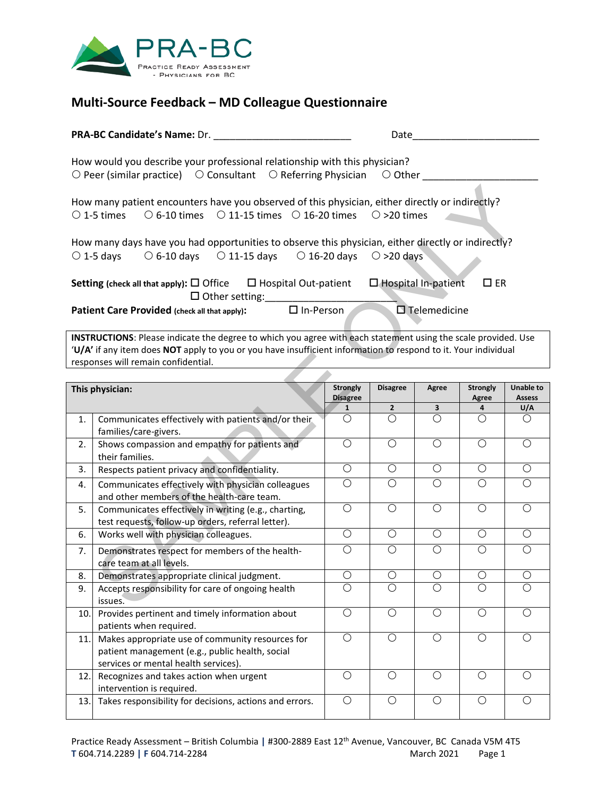

patients when required.

intervention is required.

10. Provides pertinent and timely information about

services or mental health services).

12. Recognizes and takes action when urgent

11. Makes appropriate use of community resources for patient management (e.g., public health, social

## **Multi-Source Feedback – MD Colleague Questionnaire**

|                                                                                                                                                                                                                                                                        |                                                                                                  |                                            |                                  | Date and the state of the state of the state of the state of the state of the state of the state of the state |                                     |                                   |  |  |  |  |
|------------------------------------------------------------------------------------------------------------------------------------------------------------------------------------------------------------------------------------------------------------------------|--------------------------------------------------------------------------------------------------|--------------------------------------------|----------------------------------|---------------------------------------------------------------------------------------------------------------|-------------------------------------|-----------------------------------|--|--|--|--|
| How would you describe your professional relationship with this physician?<br>$\bigcirc$ Peer (similar practice) $\bigcirc$ Consultant $\bigcirc$ Referring Physician $\bigcirc$ Other                                                                                 |                                                                                                  |                                            |                                  |                                                                                                               |                                     |                                   |  |  |  |  |
| How many patient encounters have you observed of this physician, either directly or indirectly?<br>$\circ$ 6-10 times $\circ$ 11-15 times $\circ$ 16-20 times $\circ$ >20 times<br>$\circ$ 1-5 times                                                                   |                                                                                                  |                                            |                                  |                                                                                                               |                                     |                                   |  |  |  |  |
| How many days have you had opportunities to observe this physician, either directly or indirectly?<br>$\circ$ 1-5 days $\circ$ 6-10 days $\circ$ 11-15 days $\circ$ 16-20 days $\circ$ >20 days                                                                        |                                                                                                  |                                            |                                  |                                                                                                               |                                     |                                   |  |  |  |  |
| Setting (check all that apply): $\Box$ Office $\Box$ Hospital Out-patient                                                                                                                                                                                              |                                                                                                  | $\square$ ER<br>$\Box$ Hospital In-patient |                                  |                                                                                                               |                                     |                                   |  |  |  |  |
| $\Box$ Other setting:<br>$\Box$ In-Person<br>Patient Care Provided (check all that apply):                                                                                                                                                                             |                                                                                                  |                                            | $\square$ Telemedicine           |                                                                                                               |                                     |                                   |  |  |  |  |
| INSTRUCTIONS: Please indicate the degree to which you agree with each statement using the scale provided. Use<br>'U/A' if any item does NOT apply to you or you have insufficient information to respond to it. Your individual<br>responses will remain confidential. |                                                                                                  |                                            |                                  |                                                                                                               |                                     |                                   |  |  |  |  |
|                                                                                                                                                                                                                                                                        |                                                                                                  |                                            |                                  |                                                                                                               |                                     |                                   |  |  |  |  |
|                                                                                                                                                                                                                                                                        |                                                                                                  |                                            |                                  |                                                                                                               |                                     |                                   |  |  |  |  |
|                                                                                                                                                                                                                                                                        | This physician:                                                                                  | <b>Strongly</b><br><b>Disagree</b>         | <b>Disagree</b>                  | Agree                                                                                                         | <b>Strongly</b><br>Agree            | <b>Unable to</b><br><b>Assess</b> |  |  |  |  |
| 1.                                                                                                                                                                                                                                                                     | Communicates effectively with patients and/or their<br>families/care-givers.                     | $\mathbf{1}$<br>$\bigcirc$                 | $\overline{2}$<br>$\overline{O}$ | 3<br>$\bigcirc$                                                                                               | 4<br>$\overline{O}$                 | U/A<br>$\bigcirc$                 |  |  |  |  |
| 2.                                                                                                                                                                                                                                                                     | Shows compassion and empathy for patients and                                                    | $\bigcirc$                                 | $\bigcirc$                       | $\bigcirc$                                                                                                    | $\bigcirc$                          | $\bigcirc$                        |  |  |  |  |
| 3.                                                                                                                                                                                                                                                                     | their families.<br>Respects patient privacy and confidentiality.                                 | $\bigcirc$                                 | $\bigcirc$                       | $\bigcirc$                                                                                                    | $\bigcirc$                          | $\bigcirc$                        |  |  |  |  |
| 4.                                                                                                                                                                                                                                                                     | Communicates effectively with physician colleagues<br>and other members of the health-care team. | $\overline{O}$                             | $\overline{O}$                   | $\overline{O}$                                                                                                | $\bigcirc$                          | $\overline{O}$                    |  |  |  |  |
| 5.                                                                                                                                                                                                                                                                     | Communicates effectively in writing (e.g., charting,                                             | $\overline{O}$                             | $\bigcirc$                       | $\bigcirc$                                                                                                    | $\overline{O}$                      | $\bigcirc$                        |  |  |  |  |
| 6.                                                                                                                                                                                                                                                                     | test requests, follow-up orders, referral letter).<br>Works well with physician colleagues.      | $\bigcirc$                                 | $\bigcirc$                       | $\bigcirc$                                                                                                    | $\bigcirc$                          | $\bigcirc$                        |  |  |  |  |
| 7.                                                                                                                                                                                                                                                                     | Demonstrates respect for members of the health-<br>care team at all levels.                      | $\overline{O}$                             | $\bigcirc$                       | $\bigcirc$                                                                                                    | $\overline{O}$                      | $\bigcirc$                        |  |  |  |  |
| 8.                                                                                                                                                                                                                                                                     | Demonstrates appropriate clinical judgment.                                                      | $\bigcirc$                                 | $\bigcirc$                       | $\bigcirc$                                                                                                    | $\bigcirc$<br>$\overline{\bigcirc}$ | $\bigcirc$                        |  |  |  |  |

13. Takes responsibility for decisions, actions and errors.

 $\begin{array}{c|c|c|c|c|c|c|c|c} \multicolumn{4}{c|c|c|c} \multicolumn{4}{c|c|c} \multicolumn{4}{c|c|c} \multicolumn{4}{c|c|c} \multicolumn{4}{c|c|c} \multicolumn{4}{c|c|c} \multicolumn{4}{c|c|c} \multicolumn{4}{c|c|c} \multicolumn{4}{c|c|c} \multicolumn{4}{c|c|c} \multicolumn{4}{c|c|c} \multicolumn{4}{c|c|c} \multicolumn{4}{c|c|c} \multicolumn{4}{c|c|c} \multicolumn{4}{c|c|c}$ 

 $\begin{array}{c|c|c|c|c|c|c|c|c} \multicolumn{4}{c|c|c|c} \multicolumn{4}{c|c|c} \multicolumn{4}{c|c|c} \multicolumn{4}{c|c|c} \multicolumn{4}{c|c|c} \multicolumn{4}{c|c|c} \multicolumn{4}{c|c|c} \multicolumn{4}{c|c|c} \multicolumn{4}{c|c|c} \multicolumn{4}{c|c|c} \multicolumn{4}{c|c|c} \multicolumn{4}{c|c|c} \multicolumn{4}{c|c|c} \multicolumn{4}{c|c|c} \multicolumn{4}{c|c|c}$ 

 $\begin{array}{c|c|c|c|c|c|c|c} \multicolumn{3}{c|c|c|c} \multicolumn{3}{c|c|c} \multicolumn{3}{c|c|c} \multicolumn{3}{c|c|c} \multicolumn{3}{c|c|c} \multicolumn{3}{c|c|c} \multicolumn{3}{c|c|c} \multicolumn{3}{c|c|c} \multicolumn{3}{c|c|c} \multicolumn{3}{c|c|c} \multicolumn{3}{c|c|c} \multicolumn{3}{c|c|c} \multicolumn{3}{c|c|c} \multicolumn{3}{c|c|c} \multicolumn{3}{c|c|c} \mult$